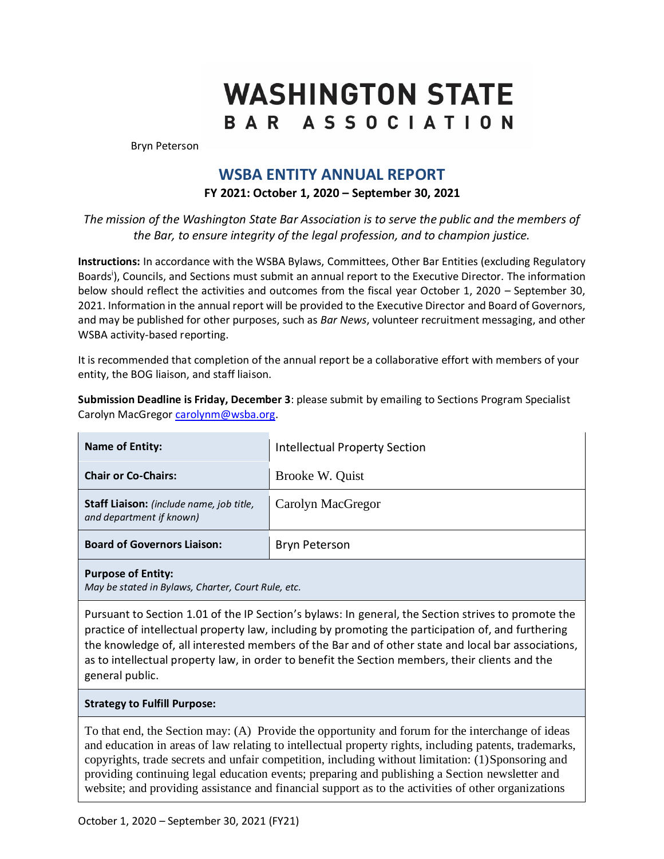# **WASHINGTON STATE** BAR ASSOCIATION

Bryn Peterson

# **WSBA ENTITY ANNUAL REPORT**

## **FY 2021: October 1, 2020 – September 30, 2021**

*The mission of the Washington State Bar Association is to serve the public and the members of the Bar, to ensure integrity of the legal profession, and to champion justice.*

**Instructions:** In accordance with the WSBA Bylaws, Committees, Other Bar Entities (excluding Regulatory Boards<sup>i</sup>), Councils, and Sections must submit an annual report to the Executive Director. The information below should reflect the activities and outcomes from the fiscal year October 1, 2020 – September 30, 2021. Information in the annual report will be provided to the Executive Director and Board of Governors, and may be published for other purposes, such as *Bar News*, volunteer recruitment messaging, and other WSBA activity-based reporting.

It is recommended that completion of the annual report be a collaborative effort with members of your entity, the BOG liaison, and staff liaison.

**Submission Deadline is Friday, December 3**: please submit by emailing to Sections Program Specialist Carolyn MacGregor [carolynm@wsba.org.](mailto:carolynm@wsba.org)

| <b>Name of Entity:</b>                                                          | <b>Intellectual Property Section</b> |  |
|---------------------------------------------------------------------------------|--------------------------------------|--|
| <b>Chair or Co-Chairs:</b>                                                      | Brooke W. Quist                      |  |
| Staff Liaison: (include name, job title,<br>and department if known)            | Carolyn MacGregor                    |  |
| <b>Board of Governors Liaison:</b>                                              | <b>Bryn Peterson</b>                 |  |
| <b>Purpose of Entity:</b><br>May be stated in Bylaws, Charter, Court Rule, etc. |                                      |  |

Pursuant to Section 1.01 of the IP Section's bylaws: In general, the Section strives to promote the practice of intellectual property law, including by promoting the participation of, and furthering the knowledge of, all interested members of the Bar and of other state and local bar associations, as to intellectual property law, in order to benefit the Section members, their clients and the general public.

#### **Strategy to Fulfill Purpose:**

To that end, the Section may: (A) Provide the opportunity and forum for the interchange of ideas and education in areas of law relating to intellectual property rights, including patents, trademarks, copyrights, trade secrets and unfair competition, including without limitation: (1)Sponsoring and providing continuing legal education events; preparing and publishing a Section newsletter and website; and providing assistance and financial support as to the activities of other organizations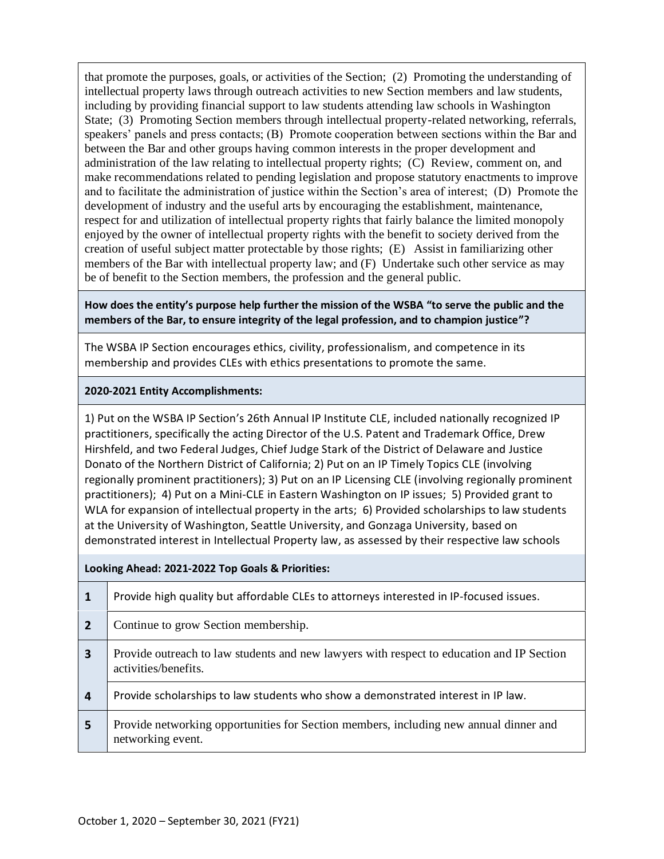that promote the purposes, goals, or activities of the Section; (2) Promoting the understanding of intellectual property laws through outreach activities to new Section members and law students, including by providing financial support to law students attending law schools in Washington State; (3) Promoting Section members through intellectual property-related networking, referrals, speakers' panels and press contacts; (B) Promote cooperation between sections within the Bar and between the Bar and other groups having common interests in the proper development and administration of the law relating to intellectual property rights; (C) Review, comment on, and make recommendations related to pending legislation and propose statutory enactments to improve and to facilitate the administration of justice within the Section's area of interest; (D) Promote the development of industry and the useful arts by encouraging the establishment, maintenance, respect for and utilization of intellectual property rights that fairly balance the limited monopoly enjoyed by the owner of intellectual property rights with the benefit to society derived from the creation of useful subject matter protectable by those rights; (E) Assist in familiarizing other members of the Bar with intellectual property law; and (F) Undertake such other service as may be of benefit to the Section members, the profession and the general public.

#### **How does the entity's purpose help further the mission of the WSBA "to serve the public and the members of the Bar, to ensure integrity of the legal profession, and to champion justice"?**

The WSBA IP Section encourages ethics, civility, professionalism, and competence in its membership and provides CLEs with ethics presentations to promote the same.

## **2020-2021 Entity Accomplishments:**

1) Put on the WSBA IP Section's 26th Annual IP Institute CLE, included nationally recognized IP practitioners, specifically the acting Director of the U.S. Patent and Trademark Office, Drew Hirshfeld, and two Federal Judges, Chief Judge Stark of the District of Delaware and Justice Donato of the Northern District of California; 2) Put on an IP Timely Topics CLE (involving regionally prominent practitioners); 3) Put on an IP Licensing CLE (involving regionally prominent practitioners); 4) Put on a Mini-CLE in Eastern Washington on IP issues; 5) Provided grant to WLA for expansion of intellectual property in the arts; 6) Provided scholarships to law students at the University of Washington, Seattle University, and Gonzaga University, based on demonstrated interest in Intellectual Property law, as assessed by their respective law schools

#### **Looking Ahead: 2021-2022 Top Goals & Priorities:**

| 1                       | Provide high quality but affordable CLEs to attorneys interested in IP-focused issues.                            |
|-------------------------|-------------------------------------------------------------------------------------------------------------------|
| $\overline{2}$          | Continue to grow Section membership.                                                                              |
| $\overline{\mathbf{3}}$ | Provide outreach to law students and new lawyers with respect to education and IP Section<br>activities/benefits. |
| $\overline{\mathbf{4}}$ | Provide scholarships to law students who show a demonstrated interest in IP law.                                  |
| 5                       | Provide networking opportunities for Section members, including new annual dinner and<br>networking event.        |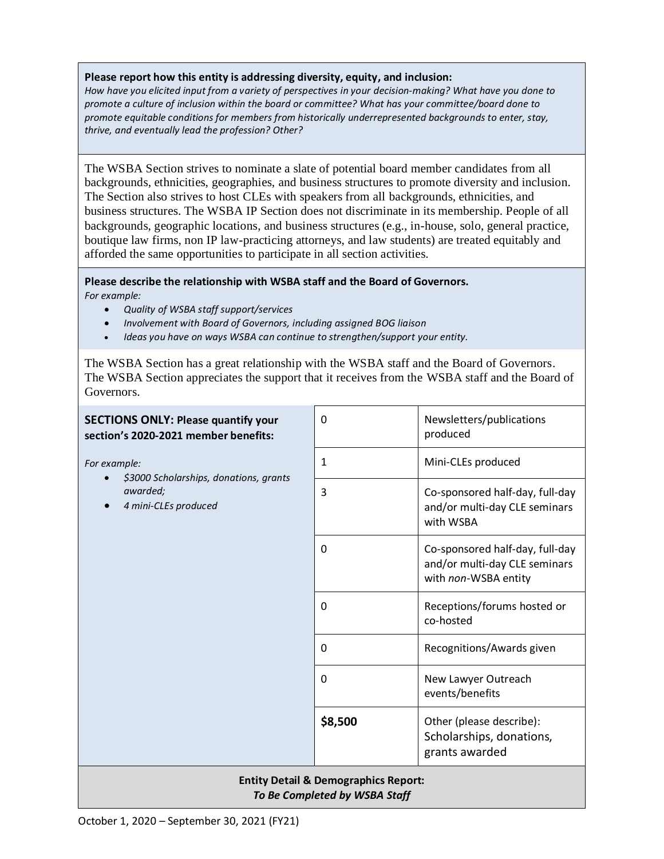#### **Please report how this entity is addressing diversity, equity, and inclusion:**

*How have you elicited input from a variety of perspectives in your decision-making? What have you done to promote a culture of inclusion within the board or committee? What has your committee/board done to promote equitable conditions for members from historically underrepresented backgrounds to enter, stay, thrive, and eventually lead the profession? Other?*

The WSBA Section strives to nominate a slate of potential board member candidates from all backgrounds, ethnicities, geographies, and business structures to promote diversity and inclusion. The Section also strives to host CLEs with speakers from all backgrounds, ethnicities, and business structures. The WSBA IP Section does not discriminate in its membership. People of all backgrounds, geographic locations, and business structures (e.g., in-house, solo, general practice, boutique law firms, non IP law-practicing attorneys, and law students) are treated equitably and afforded the same opportunities to participate in all section activities.

#### **Please describe the relationship with WSBA staff and the Board of Governors.**

*For example:* 

- *Quality of WSBA staff support/services*
- *Involvement with Board of Governors, including assigned BOG liaison*
- *Ideas you have on ways WSBA can continue to strengthen/support your entity.*

The WSBA Section has a great relationship with the WSBA staff and the Board of Governors. The WSBA Section appreciates the support that it receives from the WSBA staff and the Board of Governors.

| <b>SECTIONS ONLY: Please quantify your</b><br>section's 2020-2021 member benefits: | 0            | Newsletters/publications<br>produced                                                     |  |  |
|------------------------------------------------------------------------------------|--------------|------------------------------------------------------------------------------------------|--|--|
| For example:                                                                       | $\mathbf{1}$ | Mini-CLEs produced                                                                       |  |  |
| \$3000 Scholarships, donations, grants<br>awarded;<br>4 mini-CLEs produced         | 3            | Co-sponsored half-day, full-day<br>and/or multi-day CLE seminars<br>with WSBA            |  |  |
|                                                                                    | 0            | Co-sponsored half-day, full-day<br>and/or multi-day CLE seminars<br>with non-WSBA entity |  |  |
|                                                                                    | $\Omega$     | Receptions/forums hosted or<br>co-hosted                                                 |  |  |
|                                                                                    | $\Omega$     | Recognitions/Awards given                                                                |  |  |
|                                                                                    | 0            | New Lawyer Outreach<br>events/benefits                                                   |  |  |
|                                                                                    | \$8,500      | Other (please describe):<br>Scholarships, donations,<br>grants awarded                   |  |  |
| <b>Entity Detail &amp; Demographics Report:</b><br>To Be Completed by WSBA Staff   |              |                                                                                          |  |  |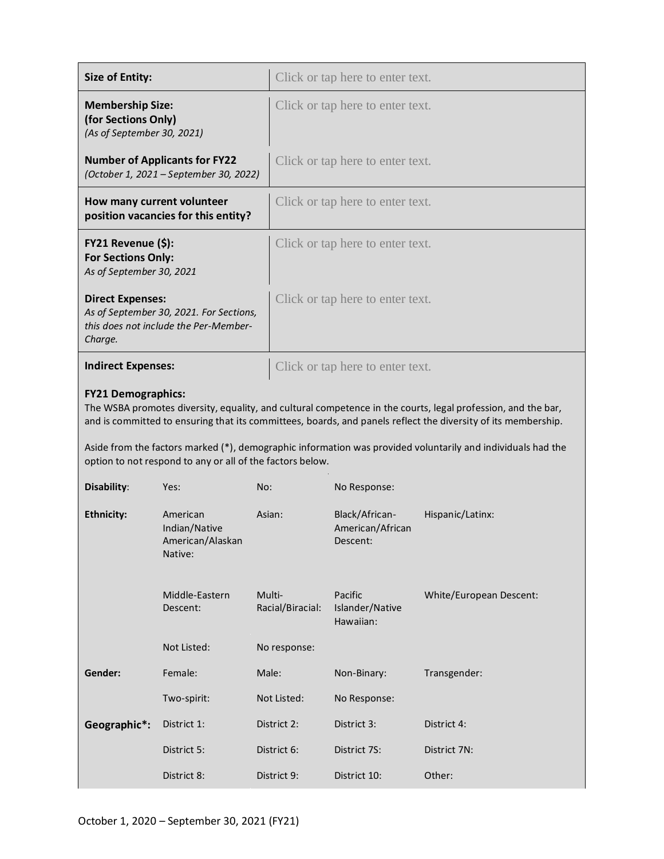| <b>Size of Entity:</b>                                                                                                                                                                                                                                                                                                                                                    |                                                          |                            | Click or tap here to enter text.               |                         |  |  |
|---------------------------------------------------------------------------------------------------------------------------------------------------------------------------------------------------------------------------------------------------------------------------------------------------------------------------------------------------------------------------|----------------------------------------------------------|----------------------------|------------------------------------------------|-------------------------|--|--|
| <b>Membership Size:</b><br>(for Sections Only)<br>(As of September 30, 2021)                                                                                                                                                                                                                                                                                              |                                                          |                            | Click or tap here to enter text.               |                         |  |  |
| <b>Number of Applicants for FY22</b><br>(October 1, 2021 - September 30, 2022)                                                                                                                                                                                                                                                                                            |                                                          |                            | Click or tap here to enter text.               |                         |  |  |
| How many current volunteer<br>position vacancies for this entity?                                                                                                                                                                                                                                                                                                         |                                                          |                            | Click or tap here to enter text.               |                         |  |  |
| FY21 Revenue (\$):<br><b>For Sections Only:</b><br>As of September 30, 2021                                                                                                                                                                                                                                                                                               |                                                          |                            | Click or tap here to enter text.               |                         |  |  |
| <b>Direct Expenses:</b><br>As of September 30, 2021. For Sections,<br>this does not include the Per-Member-<br>Charge.                                                                                                                                                                                                                                                    |                                                          |                            | Click or tap here to enter text.               |                         |  |  |
| <b>Indirect Expenses:</b>                                                                                                                                                                                                                                                                                                                                                 |                                                          |                            | Click or tap here to enter text.               |                         |  |  |
| <b>FY21 Demographics:</b><br>The WSBA promotes diversity, equality, and cultural competence in the courts, legal profession, and the bar,<br>and is committed to ensuring that its committees, boards, and panels reflect the diversity of its membership.<br>Aside from the factors marked (*), demographic information was provided voluntarily and individuals had the |                                                          |                            |                                                |                         |  |  |
| option to not respond to any or all of the factors below.                                                                                                                                                                                                                                                                                                                 |                                                          |                            |                                                |                         |  |  |
| Disability:                                                                                                                                                                                                                                                                                                                                                               | Yes:                                                     | No:                        | No Response:                                   |                         |  |  |
| <b>Ethnicity:</b>                                                                                                                                                                                                                                                                                                                                                         | American<br>Indian/Native<br>American/Alaskan<br>Native: | Asian:                     | Black/African-<br>American/African<br>Descent: | Hispanic/Latinx:        |  |  |
|                                                                                                                                                                                                                                                                                                                                                                           | Middle-Eastern<br>Descent:                               | Multi-<br>Racial/Biracial: | Pacific<br>Islander/Native<br>Hawaiian:        | White/European Descent: |  |  |
|                                                                                                                                                                                                                                                                                                                                                                           | Not Listed:                                              | No response:               |                                                |                         |  |  |
| Gender:                                                                                                                                                                                                                                                                                                                                                                   | Female:                                                  | Male:                      | Non-Binary:                                    | Transgender:            |  |  |
|                                                                                                                                                                                                                                                                                                                                                                           | Two-spirit:                                              | Not Listed:                | No Response:                                   |                         |  |  |
| Geographic*:                                                                                                                                                                                                                                                                                                                                                              | District 1:                                              | District 2:                | District 3:                                    | District 4:             |  |  |
|                                                                                                                                                                                                                                                                                                                                                                           | District 5:                                              | District 6:                | District 7S:                                   | District 7N:            |  |  |
|                                                                                                                                                                                                                                                                                                                                                                           | District 8:                                              | District 9:                | District 10:                                   | Other:                  |  |  |